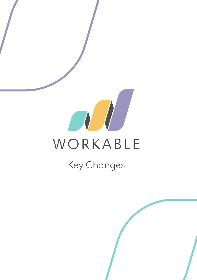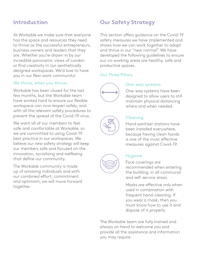At Workable we make sure that everyone has the space and resources they need to thrive as the successful entrepreneurs, business owners and leaders that they are. Whether you're drawn in by our incredible panoramic views of London or find creativity in our aesthetically designed workspaces. We'd love to have you in our flexi-work community!

#### We thrive, when you thrive!

Workable has been closed for the last few months, but the Workable team have worked hard to ensure our flexible workspace can now reopen safely, and with all the relevant safety procedures to prevent the spread of the Covid-19 virus.

We want all of our members to feel safe and comfortable at Workable, so we are committed to using Covid-19 best practice in our workspaces. We believe our new safety strategy will keep our members safe and focused on the innovation, socialising and wellbeing that define our community.

The Workable community is made up of amazing individuals and with our combined effort, commitment and optimism, we will move forward together.

# **Introduction Our Safety Strategy**

This section offers guidance on the Covid-19 safety measures we have implemented and shows how we can work together to adapt and thrive in our "new normal". We have developed the following guidelines to ensure our co-working areas are healthy, safe and productive spaces.

#### Our Three Pillars



#### One-way systems

One-way systems have been designed to allow users to still maintain physical distancing where and when needed.



#### Cleaning

Hand sanitiser stations have been installed everywhere, because having clean hands is one of the most effective measures against Covid-19.



#### **Hygiene**

Face coverings are recommended when entering the building, in all communal and self-service areas.

Masks are effective only when used in combination with frequent hand-cleaning. If you wear a mask, then you must know how to use it and dispose of it properly.

The Workable team are fully trained and always on hand to welcome you and provide all the assistance and information you may require.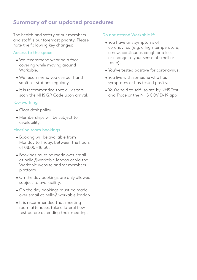# **Summary of our updated procedures**

The health and safety of our members and staff is our foremost priority. Please note the following key changes:

#### Access to the space

- We recommend wearing a face covering while moving around Workable.
- We recommend you use our hand sanitiser stations regularly.
- It is recommended that all visitors scan the NHS QR Code upon arrival.

### Co-working

- Clear desk policy
- Memberships will be subject to availability.

#### Meeting room bookings

- Booking will be available from Monday to Friday, between the hours of 08.00 – 18:30.
- Bookings must be made over email at hello@workable.london or via the Workable website and /or members platform.
- On the day bookings are only allowed subject to availability.
- On the day bookings must be made over email at hello@workable.london
- It is recommended that meeting room attendees take a lateral flow test before attending their meetings.

#### Do not attend Workable if:

- You have any symptoms of coronavirus (e.g. a high temperature, a new, continuous cough or a loss or change to your sense of smell or taste).
- You've tested positive for coronavirus.
- You live with someone who has symptoms or has tested positive.
- You're told to self-isolate by NHS Test and Trace or the NHS COVID-19 app